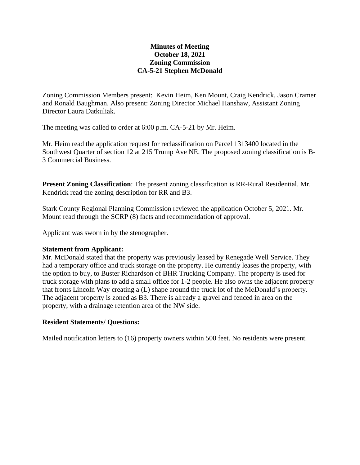# **Minutes of Meeting October 18, 2021 Zoning Commission CA-5-21 Stephen McDonald**

Zoning Commission Members present: Kevin Heim, Ken Mount, Craig Kendrick, Jason Cramer and Ronald Baughman. Also present: Zoning Director Michael Hanshaw, Assistant Zoning Director Laura Datkuliak.

The meeting was called to order at 6:00 p.m. CA-5-21 by Mr. Heim.

Mr. Heim read the application request for reclassification on Parcel 1313400 located in the Southwest Quarter of section 12 at 215 Trump Ave NE. The proposed zoning classification is B-3 Commercial Business.

**Present Zoning Classification**: The present zoning classification is RR-Rural Residential. Mr. Kendrick read the zoning description for RR and B3.

Stark County Regional Planning Commission reviewed the application October 5, 2021. Mr. Mount read through the SCRP (8) facts and recommendation of approval.

Applicant was sworn in by the stenographer.

## **Statement from Applicant:**

Mr. McDonald stated that the property was previously leased by Renegade Well Service. They had a temporary office and truck storage on the property. He currently leases the property, with the option to buy, to Buster Richardson of BHR Trucking Company. The property is used for truck storage with plans to add a small office for 1-2 people. He also owns the adjacent property that fronts Lincoln Way creating a (L) shape around the truck lot of the McDonald's property. The adjacent property is zoned as B3. There is already a gravel and fenced in area on the property, with a drainage retention area of the NW side.

## **Resident Statements/ Questions:**

Mailed notification letters to (16) property owners within 500 feet. No residents were present.